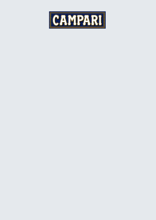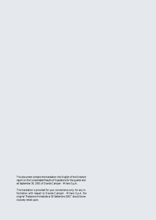This document contains the translation into English of the Directors' report on the Consolidated Results of Operations for the quarter ended September 30, 2001 of Davide Campari - Milano S.p.A..

The translation is provided for your convenience only; for any information with respect to Davide Campari - Milano S.p.A. the original "Relazione trimestrale al 30 Settembre 2001" should be exclusively relied upon.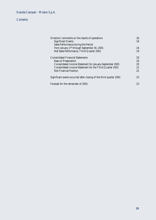Davide Campari - Milano S.p.A.

# **Contents**

| Directors' comments on the results of operations                    | 16 |
|---------------------------------------------------------------------|----|
| <b>Significant Events</b>                                           | 16 |
| Sales Performance during the Period                                 |    |
| from January 1 <sup>st</sup> through September 30, 2001             | 16 |
| Net Sales Performance, Third Quarter 2001                           | 19 |
| <b>Consolidated Financial Statements</b>                            | 20 |
| <b>Basis of Presentation</b>                                        | 20 |
| Consolidated Income Statement for January-September 2001            | 20 |
| Consolidated Income Statement for the Third Quarter 2001            | 22 |
| <b>Net Financial Position</b>                                       | 22 |
| Significant events occurred after closing of the third quarter 2001 | 23 |
| Forecast for the remainder of 2001                                  | 23 |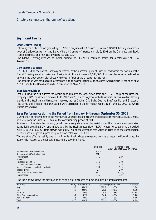Davide Campari - Milano S.p.A.

## Directors' comments on the results of operations

# **Significant Events**

#### **Stock Market Trading**

Following the authorization granted by CONSOB on June 20, 2001 with its note n. 1049199, trading of common stock of Davide Campari-Milano S.p.A. ("Parent Company") started on July 6, 2001 on the Computerized Stock Market organized and managed by Borsa Italiana S.p.A.

The Global Offering involved an overall number of 13,699,750 common shares, for a total value of Euro 424,692,250.

#### **Own Shares Buy-Back**

On July 13, 2001 the Parent Company purchased, at the placement price of Euro 31, and within the portion of the Global Offering aimed at Italian and foreign institutional investors, 1,000,000 of its own shares to be destined to servicing the stock option plan already resolved in favor of the Group's management.

The acquisition was conducted in accordance with the authorization of the General Shareholders' Meeting of May 2, 2001 and to the Board of Directors' resolution of May 7, 2001.

#### **Brazilian Acquisition**

Lastly, during the first quarter the Group consummated the acquisition from the UDV Group of the Brazilian company UDV Industria e Comercio Ltda. ("UDVIC"), which, together with its subsidiaries, owns certain leading brands in the Brazilian and Uruguayan markets, such as Dreher, Old Eight, Drury's, Liebfraumilch and Gregson's. The terms and effects of this transaction were described in the six-month report as of June 30, 2001, to which readers are referred.

## **Sales Performance during the Period from January 1st through September 30, 2001**

During the first nine months of the year the Group's sales net of discounts and excise taxes reached Euro 347.3 mio., up 8.2% from the Euro 321.1 mio. of the corresponding period of 2000.

As shown in the table that follows, growth was mostly determined by variations of the consolidation perimeter, quantifiable overall as 8.2%, and in particular by the Brazilian acquisition (8.0%), whose net sales during the period were Euro 25.6 mio. Organic growth was 0.8%, whilst the exchange rate variation relative to the consolidation currency had a negative impact of equal size on total sales, i.e. 0.8%.

This negative effect is mainly due to the Brazilian Real, whose average exchange rate versus the Euro dropped by 20.5% with respect to the January-September 2000 time frame.

|                                           | Euro mio. | % change on the<br>January-September 2000 time frame |
|-------------------------------------------|-----------|------------------------------------------------------|
| Net sales as of 30 September 2001         | 347.3     |                                                      |
| Net sales as of 30 September 2000         | 321.1     |                                                      |
| Total variation                           | 26.2      | 8.2%                                                 |
| Whereof:                                  |           |                                                      |
| - Brazilian acquisition                   | 25.6      | 8.0%                                                 |
| - Granini fruit juice distribution        | 0.6       | 0.2%                                                 |
| Impact of the new consolidation perimeter | 26.2      | 8.2%                                                 |
| Organic growth                            | 2.7       | 0.8%                                                 |
| Effect of exchange rate variations        | (2.7)     | $(0.8\%)$                                            |
| Total variation                           | 26.2      | 8.2%                                                 |

The table below shows the distribution of sales, net of discounts and excise duties, by geographical area.

| (Euro mio.)              |       | January-September 2001 |       | January-September 2000 | % change  |
|--------------------------|-------|------------------------|-------|------------------------|-----------|
| Italy                    | 193.8 | 55.8%                  | 190.6 | 59.3%                  | 1.7%      |
| EU                       | 76.5  | 22.0%                  | 75.8  | 23.6%                  | 0.8%      |
| Americas                 | 47.2  | 13.6%                  | 23.3  | 7.3%                   | 102.7%    |
| Other European countries | 14.2  | 4.1%                   | 14.4  | 4.5%                   | $(1.4\%)$ |
| Rest of the world        | 15.6  | 4.5%                   | 17.0  | 5.3%                   | $(8.3\%)$ |
| Total                    | 347.3 | 100.0%                 | 321.1 | 100.0%                 | 8.2%      |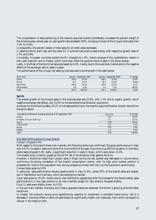The consolidation of sales pertaining to the recently acquired brands considerably increased the percent weight of the Americas area, whose year-on-year growth rate exceeded 100%, bringing its share of the Group's total sales from 7.3% to 13.6%.

Consequently, the percent weight of total sales for all other areas decreased.

In absolute terms, both Italy and the other EU Countries had positive sales trends, with respective growth rates of 1.7% and 0.8%.

Conversely, European countries outside the EU dropped by 1.4%, mainly because of the unsatisfactory results in the Czech Republic and in Poland, which more than offset the positive trend of sales in the Swiss market.

Lastly, in the Rest of the World net sales decreased by 8.3%, mostly due to the Australian market and to the negative effects of the exchange rate on sales in Japan.

The performance of the Group's net sales by business area is summarized in the table below.

| (Euro mio.)    |       | January - September 2001 |       | January - September 2000 | % change  |
|----------------|-------|--------------------------|-------|--------------------------|-----------|
| <b>Spirits</b> | 192.6 | 55.5%                    | 166.2 | 51.8%                    | 15.9%     |
| <b>Wines</b>   | 42.1  | 12.1%                    | 46.1  | 14.4%                    | $(8.8\%)$ |
| Soft drinks    | 104.6 | 30.1%                    | 104.5 | 32.5%                    | 0.1%      |
| Altre vendite  | 8.0   | 2.3%                     | 4.3   | 1.3%                     | 86.0%     |
| Total          | 347.3 | 100.0%                   | 321.1 | 100.0%                   | 8.2%      |

#### **Spirits**

The overall growth of the Group's sales in this business area was 15.9%, with 1.7% due to organic growth, net of negative exchange rate effects, and 14.2% to the aforementioned Brazilian acquisition.

As shown by the following table, 92.2% of net sales pertaining to the recently acquired Brazilian brands derive from the spirits sector.

| Net sales of the Brazilian brands acquired as of 30 September 2001 | Euro mio. | % of total |
|--------------------------------------------------------------------|-----------|------------|
| <b>Dreher</b>                                                      | 14.4      | 56.5%      |
| Old eight, Drury's e Gold Cup                                      | 9.1       | 35.7%      |
| <b>Spirits</b>                                                     | 23.6      | 92.2%      |
| Liebfraumilch                                                      | 0.6       | 2.4%       |
| <b>Wines</b>                                                       | 0.6       | 2.4%       |
| <b>Others</b>                                                      |           | 5.4%       |
| <b>Total</b>                                                       | 25.6      | 100.0%     |

#### Net Sales Performance of Group Brands

*Campari* dropped 2.0%.

With regard to the brand's three main markets, the following factors are confirmed: the good performance in Italy, with a 6.7% increase in sales during the first nine months of the year; the continuing difficult situation in Germany, where sales dropped 5.4%; lastly, a significant reduction in sales in Brazil, which were down 21.5%.

This sizable drop is mainly caused by the 20.5% fall of the Brazilian Real against the Euro.

However, it should be noted that *Campari* sales in Brazil during the last quarter also decreased in volume terms, confirming the strong correlation of the brand's consumption (which, with its high price market position is accessible for most of the population only during prosperous times) with the Country's economic performance. *CampariSoda* grew by 0.5%.

In particular, sales performance remains positive both in Italy (0.3%), where 97% of the brand's sales are located, and in Switzerland and Germany, which are developing markets.

*Cynar* sales grew by 16.2%, mainly due to new distribution agreements with the licensee for the Swiss market; sales performance is, in any case, positive in all main markets, except for Italy where it dropped slightly.

*Ouzo 12* sales were slightly lower, by 0.5%.

In the two main markets, Germany and Greece, opposite trends are observed: the former is growing while the latter has shrunk.

In Greece, the product's strong price repositioning, essential to implement a consistent brand policy, led to a decrease in volumes (offset in terms of sales thanks to significantly higher unit revenues), from which we expect to recover in the medium term.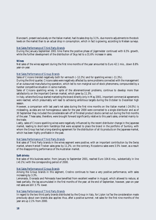*Biancosarti*, present exclusively on the Italian market, had its sales drop by 3.1%, due more to adjustments to the stock levels on the market than to an actual drop in consumption, which in fact is growing, according to Nielsen surveys.

#### Net Sales Performance of Third Party Brands

During the January-September 2001 time frame the positive phase of *Jägermeister* continued with 6.5% growth, while the further development of the distribution of *Skyy* led to a 31.6% increase in sales.

#### **Wines**

Net sales of the wines segment during the first nine months of the year amounted to Euro 42.1 mio., down 8.8% year-on-year.

#### Net Sales Performance of Group Brands

Sales of *Cinzano* trended negatively both for *vermouth* (–12.2%) and for sparkling wines (–11.3%).

During the third quarter, *Cinzano* sales were negatively affected by some problems connected with the management of an outsourced manufacturing operation, which led to non-marginal out-of-stock phenomena, compounded by a harsher competitive situation in some markets.

Sales of *Cinzano* sparkling wines, in spite of the aforementioned problems, continue to develop more than satisfactorily on the important German market, which grew by 11.3%.

In Italy, where the Group started marketing the brand directly only in May 2001, important commercial agreements were reached, which presumably will lead to achieving ambitious targets during the October to December high season.

However, a comparison with last year's net sales during the first nine months on the Italian market (-24.0%) is misleading, as data are not homogeneous: sales for the year 2000 were connected to a single distributor and as of 30 September they included the considerable sell-off of finished product stocks carried out during the first months of the year. These sales, therefore, were brought forward significantly relative to this year's sales, oriented mainly to the trade.

Lastly, sales of *Cinzano* sparkling wines were negatively influenced by the recent distributor change in the Japanese market, leading to short-term hardships that were accepted to place the brand in the portfolio of Suntory, with whom the Group has had a long-standing agreement for the distribution of all its products on the Japanese market, which has been highly profitable in the past.

#### Net Sales Performance of Third Party Brands

Net sales of Third Party brands in the wines segment were positive, with an important contribution by the Swiss market, where *Henkell Trocken* sales grew by 11.2%; on the contrary, *Riccadonna* sales were 3.5% lower, as a result of the disappointing performance of the Australian market.

#### **Soft drinks**

Net sales of this business sector, from January to September 2001, reached Euro 104.6 mio., substantially in line (+0.1%) with the corresponding period of 2000.

#### Net Sales Performance of Group Brands

Among the Group brands in this segment, *Crodino* continues to have a very positive performance, with sales increasing by 3.3%.

*Lemonsoda*, *Oransoda* and *Pelmosoda* have benefited from excellent weather in August, which allowed to reduce, at least partially, the lag accumulated in the first months of the year; at the end of September, however, year-on-year net sales are still 3.7% lower.

#### Net Sales Performance of Third Party Brands

In regard to the two third party brands distributed by the Group in Italy, for *Lipton Ice Tea* the consideration made previously about own brands also applies: thus, after a positive summer, net sales for the first nine months of the year are up 2.1% from 2000.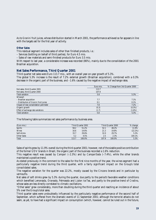As to *Granini* fruit juices, whose distribution started in March 2001, the performance achieved so far appears in line with the targets set for the first year of activity.

#### **Other Sales**

This residual segment includes sales of other than finished products, i.e.:

– Services (bottling on behalf of third parties), for Euro 4.5 mio.

– Sales of raw materials and semi-finished products for Euro 3.5 mio.

With respect to last year, a considerable increase was recorded (86%), mainly due to the consolidation of the 2001 Brazilian acquisition.

### **Net Sales Performance, Third Quarter 2001**

Third quarter net sales were Euro 113.7 mio., with an overall year-on-year growth of 5.3%.

The global 5.3% increase is the result of 7.2% external growth (Brazilian acquisition), combined with a 0.3% decrease in the organic part of the business, and –1.6% caused by the negative impact of exchange rates.

|                                               | Euro mio. | % Change from 3rd Quarter 2000 |
|-----------------------------------------------|-----------|--------------------------------|
| Net sales, third Quarter 2001                 | 113.7     |                                |
| Net sales, third Quarter 2000                 | 107.9     |                                |
| Total variation                               | 5.8       | 5.3%                           |
| Whereof:                                      |           |                                |
| - Brazilian acquisition                       | 7.7       | 7.1%                           |
| - Distribution of <i>Granini</i> fruit juices | 0.1       | 0.1%                           |
| Impact of new consolidation perimeter         | 7.8       | 7.2%                           |
| Organic growth                                | (0.3)     | $(0.3\%)$                      |
| Effect of exchange rate variations            | (1.7)     | $(1.6\%)$                      |
| Total variation                               | 5.8       | 5.3%                           |

The following table summarizes net sales performance by business area.

| (Euro mio.)        | Third Quarter 2001 |        |       | Third Quarter 2000 |         |  |
|--------------------|--------------------|--------|-------|--------------------|---------|--|
| <b>Spirits</b>     | 58.2               | 51.2%  | 52.1  | 48.2%              | 11.9%   |  |
| <b>Wines</b>       | 16.6               | 14.6%  | 21.3  | 19.8%              | (22.2%) |  |
| Soft drinks        | 33.7               | 29.6%  | 32.0  | 29.7%              | 5.3%    |  |
| <b>Other Sales</b> | 5.2                | 4.5%   | 2.5   | 2.3%               | 104.1%  |  |
| Total              | 113.7              | 100.0% | 107.9 | 100.0%             | 5.3%    |  |

Sales of spirits grew by 11.9% overall during the third quarter 2001; however, net of the sizable positive contribution of the former UDV brands in Brazil, the organic part of the business recorded a 1.6% reduction.

This negative result was caused by *Campari* (–2.3%) and by *CampariSoda* (–7.4%), while the other brands maintained a positive trend.

As stated previously in the comment to the sales for the first nine months of the year, the wines segment had a particularly negative trend during the third quarter, with a fairly significant impact on the Group's total consolidated sales.

The negative variation for the quarter was 22.2%, mostly caused by the *Cinzano* brands and in particular by *vermouths*.

Net sales of soft drinks grew by 5.3% during the quarter, due partly to the period's favorable weather conditions which benefited *Lemonsoda*, *Oransoda*, *Pelmosoda* and *Lipton Ice Tea*, and partly to the positive trend of *Crodino*, whose sales are less directly correlated to climatic oscillations.

"Other sales" grew considerably, more than doubling during the third quarter and reaching an incidence of about 5% over the Group's total sales.

Third quarter sales were undoubtedly influenced by the particularly negative performance of the second half of September, which suffered from the dramatic events of 11 September 2001; although the terrorist attacks do not seem, as yet, to have had a significant impact on consumption (which, however, cannot be ruled out in the future,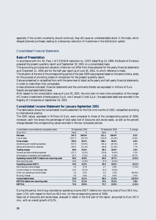especially if the current uncertainty should continue), they did cause an understandable shock in the trade, which delayed planned purchases, leading to a temporary reduction of inventories in the distribution system.

## Consolidated Financial Statements

### **Basis of Presentation**

In accordance with Art. 82, Para. 1 of CONSOB resolution no. 11971 dated May 14, 1999, the Board of Directors prepared the present quarterly report as of September 30, 2001 on a consolidated basis.

The accounting principles and valuation criteria do not differ from those adopted for the yearly financial statements as of December 31, 2000 and for the half-year report as of June 30, 2001, to which reference is made.

The situation at the end of the corresponding period of the year 2000 was prepared based on the same criteria, solely for the purpose of providing a basis of comparison for the present quarterly report.

Data are presented in reclassified form with the same level of detail as the yearly and half-yearly financial statements, in order to make them fully comparable.

Unless otherwise indicated, financial statements and the comments thereto are expressed in millions of Euro. Results are expressed before taxes.

With respect to the consolidation area as of June 30, 2001, the only item of note is the completion of the merger of Cinzano Investimenti e Partecipazioni S.p.A. into Campari-Crodo S.p.A.; the associated deed was recorded in the Registry of Companies on September 24, 2001.

#### **Consolidated Income Statement for January-September 2001**

The table below shows the consolidated income statement for the first nine months of 2001, reclassified according to international practice.

The 2001 values, expressed in Millions of Euro, were compared to those of the corresponding period of 2000; moreover, each line shows the percentage of total sales (net of discounts and excise taxes), as well as the percent change between the corresponding values recorded in the two compared periods.

| Consolidated income statement (progressive data)   |         | 30 September 2001 |         | 30 September 2000 | $%$ change |
|----------------------------------------------------|---------|-------------------|---------|-------------------|------------|
| (Euro mio.)                                        | Value   | %                 | value   | %                 |            |
| <b>Net sales</b>                                   | 347.3   | 100.0%            | 321.1   | 100.0%            | 8.2%       |
| Cost of sales                                      | (151.7) | $(43.7\%)$        | (133.0) | $(41.4\%)$        | 14.0%      |
| Gross margin                                       | 195.6   | 56.3%             | 188.1   | 58.6%             | 4.0%       |
| Advertising and marketing expenses                 | (67.3)  | $(19.4\%)$        | (65.1)  | (20.3%)           | 3.4%       |
| Selling and distribution expenses                  | (39.4)  | (11.3%)           | (36.6)  | $(11.4\%)$        | 7.7%       |
| Trading margin                                     | 88.9    | 25.6%             | 86.4    | 26.9%             | 2.9%       |
| General and administrative expenses                | (21.7)  | $(6.2\%)$         | (20.6)  | $(6.4\%)$         | 5.5%       |
| Amortization of goodwill and trademarks            | (8.7)   | $(2.5\%)$         | (5.8)   | $(1.8\%)$         | 50.7%      |
| Operating income (EBIT) before non recurring costs | 58.5    | 16.8%             | 60.0    | 18.7%             | $(2.5\%)$  |
| Non recurring costs                                | (4.6)   | $(1.3\%)$         | (0.7)   | $(0.2\%)$         |            |
| <b>Operating income (EBIT)</b>                     | 53.9    | 15.5%             | 59.3    | 18.5%             | $(9.1\%)$  |
| Net financial income (losses)                      | 2.5     | 0.7%              | 2.7     | 0.8%              | (7.3%)     |
| Income (losses) on net exchange rates              | (1.6)   | $(0.5\%)$         | (0.1)   | $(0.0\%)$         |            |
| Other non operating income (losses)                | 1.0     | 0.3%              | 6.5     | 2.0%              | $(84.9\%)$ |
| Minority interest                                  | 0.0     | $0.0\%$           | 0.0     | $0.0\%$           | $0.0\%$    |
| <b>Income before taxes</b>                         | 55.8    | 16.1%             | 68.4    | 21.3%             | (18.3%)    |
| <b>EBITDA</b> before non recurring costs           | 77.3    | 22.3%             | 74.5    | 23.2%             | 3.8%       |
| <b>EBITDA</b>                                      | 72.6    | 20.9%             | 73.7    | 23.0%             | $(1.5\%)$  |

During the period, the Group recorded an operating income (EBIT) before non recurring costs of Euro 58.5 mio., down 2.5% with respect to the Euro 60.0 mio. for the corresponding period of 2000.

Sales net of discounts and excise taxes, analyzed in detail in the first part of the report, amounted to Euro 347.3 mio., with an overall growth of 8.2%.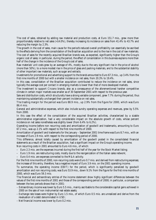The cost of sales, obtained by adding raw material and production costs, at Euro 151.7 mio., grew more than proportionately relative to net sales (+14.0%), thereby increasing its incidence on sales from 41.4% to 43.7% and reducing the margin by 2.3%.

The growth in the cost of sales, main cause for the period's reduced overall profitability can essentially be ascribed to the effects deriving from the consolidation of the Brazilian acquisition and to the rise in the cost of raw materials. The cost of sales for the recently acquired Brazilian brands was, as expected, significantly higher than the Group's organic cost of sales; in particular, during the period, the effect of consolidation in this business explains more than half of the change in the incidence of the Group's cost of sales.

Raw materials' unit costs grew by an average of 4%, mostly due to the very significant rise in the price of alcohol (more than 50%), to a more modest rise in the price of glass and packing materials, and to the substantial stability of other important raw materials, such as sugar and extracts.

Investments for promotional and advertising support to the brands amounted to Euro 67.3 mio., up 3.4% from the first nine months of 2000 but with a smaller incidence on net sales, from 20.3% to 19.4%.

In this case, consolidation of the Brazilian acquisition contributed to reduce the incidence on net sales, since typically the average cost per contact in emerging markets is lower than that of more developed markets.

The investment to support *Cinzano* brands, also as a consequence of the aforementioned harsher competitive climate in certain major markets was smaller as of 30 September 2001 with respect to the previous year.

Sale and distribution costs, which structurally have a strong variable component, grew 7.7% during the period, thus maintaining substantially unchanged their percent incidence on net sales.

The trading margin for the period was Euro 88.9 mio., up 2.9% from the figure for 2000, which was Euro 86.4 mio.

General and administrative expenses, which also include sundry operating expenses and revenues, grew by 5.5% from 2000.

In this case the effect of the consolidation of the acquired Brazilian activities, characterized by a sizable administrative organization, had a very considerable impact on the absolute growth of costs, whose percent incidence on net sales nonetheless was slightly lower (from 6.4% to 6.2%).

Operating income before non recurring costs and amortization of goodwill and trademarks, amounting to Euro 67.2 mio., was up 2.1% with respect to the first nine months of 2000.

Amortization of goodwill and trademarks for the January – September 2001 time frame was Euro 8.7 mio., with an increase of Euro 2.9 mio. with respect to the corresponding period of 2000.

This difference, almost totally caused by amortization of the goodwill posted in the consolidated financial statements as a result of the Brazilian acquisition, had a significant impact on the Group's operating income.

Non recurring costs in 2001 amounted to Euro 4.6 mio., of which:

- Euro 2.3 mio. are the expenses incurred during the first half of the year for the Stock Market listing;
- Euro 1.9 mio. are restructuring costs, mostly due to the reorganization of the Italian sales network;
- Euro 0.4 mio. are expenses connected to the *M&A* activity.

For the first nine months of 2000, non-recurring costs were Euro 0.7 mio. and derived from restructuring expenses; the increase of this entry, therefore, has a negative impact of Euro 3.9 mio. on the 2001 operating income.

To summarize, the operating income (EBIT) for the period, which is significantly penalized by goodwill amortization and non recurring costs, was Euro 53.9 mio., down 9.1% from the figure for the first nine months of 2000, which was Euro 59.3 mio.

The financial and extraordinary entries of the income statement show highly significant differences between the values of the first nine months of 2001 and those of the corresponding period of 2000; in particular, a comparison between the two periods shows that in 2001:

- Extraordinary income was lower by Euro 5.5 mio., mainly ascribable to the considerable capital gains achieved in 2000 on the sale of non instrumental real estate assets;
- Exchange rate losses were higher by Euro 1.5 mio., of which Euro 0.5 mio. are unrealized and derive from the revaluation of a debt denominated in USD;
- Net financial income was lower by Euro 0.2 mio.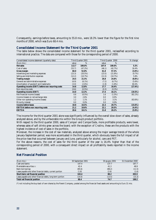Consequently, earnings before taxes, amounting to 55.8 mio., were 18.3% lower than the figure for the first nine months of 2000, which was Euro 68.4 mio.

# **Consolidated Income Statement for the Third Quarter 2001**

The table below shows the consolidated income statement for the third quarter 2001, reclassified according to international practice. The data are compared with those for the corresponding period of 2000.

| Consolidated income statement (quarterly data)     |        | Third Quarter 2001 |         | Third Quarter 2000 | % change   |
|----------------------------------------------------|--------|--------------------|---------|--------------------|------------|
| (Euro mio.)                                        | value  | %                  | value   | %                  |            |
| <b>Net sales</b>                                   | 113.7  | 100.0%             | 107.9   | 100.0%             | 5.3%       |
| Cost of sales                                      | (53.7) | (47.2%)            | (46.1)  | $(42.7\%)$         | 16.4%      |
| Gross margin                                       | 60.0   | 52.8%              | 61.8    | 57.3%              | $(3.0\%)$  |
| Advertising and marketing expenses                 | (23.3) | $(20.5\%)$         | (23.5)  | $(21.8\%)$         | $(0.7\%)$  |
| Selling and distribution expenses                  | (12.2) | $(10.7\%)$         | (11.5)  | $(10.7\%)$         | 5.8%       |
| <b>Trading margin</b>                              | 24.5   | 21.5%              | 26.8    | 24.8%              | $(8.8\%)$  |
| General and administrative expenses                | (6.9)  | $(6.1\%)$          | (7.2)   | $(6.7\%)$          | $(5.6\%)$  |
| Amortization of goodwill and trademarks            | (3.0)  | $(2.6\%)$          | (1.9)   | $(1.8\%)$          | 60.4%      |
| Operating income (EBIT) before non recurring costs | 14.6   | 12.8%              | 17.7    | 16.4%              | $(17.4\%)$ |
| Non recurring costs                                | (0.6)  | $(0.5\%)$          | (0.3)   | $(0.3\%)$          |            |
| <b>Operating income (EBIT)</b>                     | 14.0   | 12.3%              | 17.4    | 16.1%              | $(19.5\%)$ |
| Net financial income (losses)                      | 0.6    | $(0.5\%)$          | $1.6\,$ | $(1.5\%)$          | $(61.1\%)$ |
| Income (losses) on net exchange rates              | 3.0    | 2.6%               | 0.0     | $0.0\%$            |            |
| Other non operating income (losses)                | 1.2    | 1.1%               | 3.3     | 3.1%               | $(63.6\%)$ |
| Minority interest                                  | 0.0    | $0.0\%$            | 0.0     | $0.0\%$            |            |
| <b>Income before taxes</b>                         | 18.8   | 16.5%              | 22.3    | 20.7%              | $(15.6\%)$ |
| <b>EBITDA</b> before non recurring costs           | 21.2   | 18.6%              | 22.1    | 20.5%              | $(4.4\%)$  |
| <b>EBITDA</b>                                      | 20.6   | 18.1%              | 21.8    | 20.2%              | $(5.9\%)$  |

The income for the third quarter 2001 alone was significantly influenced by the overall slow-down of sales, already analyzed above, and by the unfavorable mix within the Group's product portfolio.

With respect to the third quarter 2000, sales of *Campari* and *CampariSoda*, more profitable products, were lower, whereas sales of soft drinks grew across the board; with the exception of *Crodino*, these are the products with the highest incidence of cost of sales in the portfolio.

Moreover, the increase in the cost of raw materials, analyzed above among the major average trends of the whole January-September period, was more accentuated in the third quarter, which obviously bears the full impact of all the price rises that occurred between January and June, particularly for alcohol, cans and PET.

For the above reasons, the cost of sales for the third quarter of the year is 16.4% higher than that of the corresponding period of 2000, with a consequent direct impact on all profitability levels reported in the income statement.

# **Net Financial Position**

| (Euro mio.)                                                | 30 September 2001 | 30 giugno 2001 | 31 December 2000 |
|------------------------------------------------------------|-------------------|----------------|------------------|
| Cash and banks                                             | 147.4             | 137.7          | 167.7            |
| Marketable securities (*)                                  | 42.4              | 41.3           | 48.9             |
| <b>Bank borrowings</b>                                     | (85.6)            | (88.2)         | (11.5)           |
| Lease payable and other financial debts, current portion   | (1.8)             | (2.6)          | (1.6)            |
| Short-term net financial position                          | 102.4             | 88.2           | 203.5            |
| Lease payable and other financial debts, long-term portion | (14.0)            | (13.5)         | (15.3)           |
| <b>Total net financial position</b>                        | 88.4              | 74.7           | 188.2            |

(\*) not including the buy-back of own shares by the Parent Company, posted among the financial fixed assets and amounting to Euro 31 mio.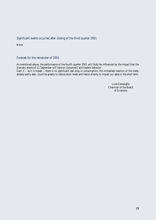# Significant events occurred after closing of the third quarter 2001

None.

# Forecast for the remainder of 2001

As mentioned above, the performance of the fourth quarter 2001 will likely be influenced by the impact that the dramatic events of 11 September will have on consumers' and traders*'* behavior. Even if – as it is hoped – there is no significant real drop in consumption, the immediate reaction of the trade, already partly seen, could be greatly to reduce stock levels and hence directly to impact our sales in the short term.

> Luca Garavoglia Chairman of the Board of Directors